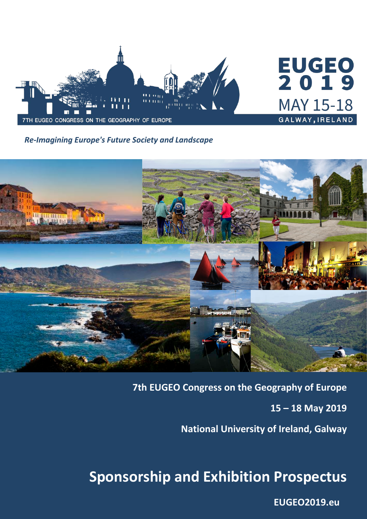

# **EUGEO**<br>2019 **MAY 15-18** GALWAY, IRELAND

*Re-Imagining Europe's Future Society and Landscape*



**7th EUGEO Congress on the Geography of Europe** 

**15 – 18 May 2019**

**National University of Ireland, Galway**

## **Sponsorship and Exhibition Prospectus**

**[EUGEO2019.eu](http://www.eugeo2019.eu/)**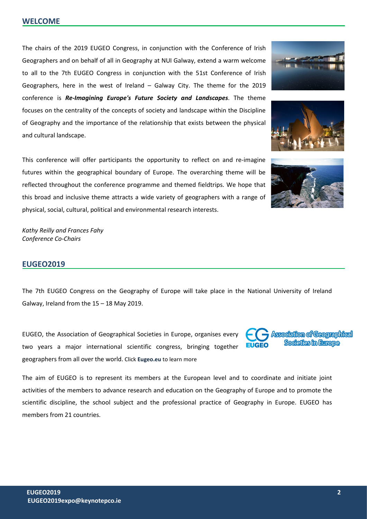The chairs of the 2019 EUGEO Congress, in conjunction with the Conference of Irish Geographers and on behalf of all in Geography at NUI Galway, extend a warm welcome to all to the 7th EUGEO Congress in conjunction with the 51st Conference of Irish Geographers, here in the west of Ireland – Galway City. The theme for the 2019 conference is *Re-Imagining Europe's Future Society and Landscapes*. The theme focuses on the centrality of the concepts of society and landscape within the Discipline of Geography and the importance of the relationship that exists between the physical and cultural landscape.

This conference will offer participants the opportunity to reflect on and re-imagine futures within the geographical boundary of Europe. The overarching theme will be reflected throughout the conference programme and themed fieldtrips. We hope that this broad and inclusive theme attracts a wide variety of geographers with a range of physical, social, cultural, political and environmental research interests.

*Kathy Reilly and Frances Fahy Conference Co-Chairs*

### **EUGEO2019**

The 7th EUGEO Congress on the Geography of Europe will take place in the National University of Ireland Galway, Ireland from the 15 – 18 May 2019.

EUGEO, the Association of Geographical Societies in Europe, organises every two years a major international scientific congress, bringing together geographers from all over the world. Click **[Eugeo.eu](http://www.eugeo.eu/)** to learn more

The aim of EUGEO is to represent its members at the European level and to coordinate and initiate joint activities of the members to advance research and education on the Geography of Europe and to promote the scientific discipline, the school subject and the professional practice of Geography in Europe. EUGEO has members from 21 countries.







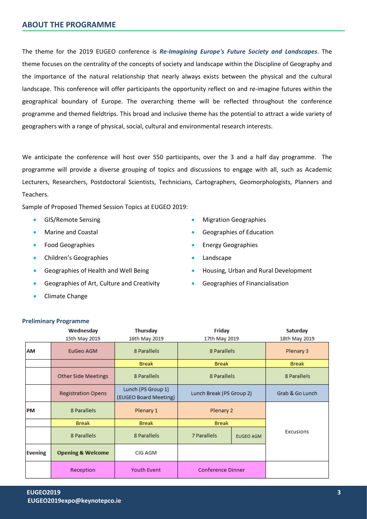The theme for the 2019 EUGEO conference is *Re-Imagining Europe's Future Society and Landscapes*. The theme focuses on the centrality of the concepts of society and landscape within the Discipline of Geography and the importance of the natural relationship that nearly always exists between the physical and the cultural landscape. This conference will offer participants the opportunity reflect on and re-imagine futures within the geographical boundary of Europe. The overarching theme will be reflected throughout the conference programme and themed fieldtrips. This broad and inclusive theme has the potential to attract a wide variety of geographers with a range of physical, social, cultural and environmental research interests.

We anticipate the conference will host over 550 participants, over the 3 and a half day programme. The programme will provide a diverse grouping of topics and discussions to engage with all, such as Academic Lecturers, Researchers, Postdoctoral Scientists, Technicians, Cartographers, Geomorphologists, Planners and Teachers.

Sample of Proposed Themed Session Topics at EUGEO 2019:

- GIS/Remote Sensing
- Marine and Coastal
- Food Geographies
- Children's Geographies
- Geographies of Health and Well Being
- Geographies of Art, Culture and Creativity
- Climate Change
- Migration Geographies
- Geographies of Education
- Energy Geographies
- Landscape
- Housing, Urban and Rural Development
- Geographies of Financialisation

|           | Wednesday                    | <b>Thursday</b><br>Friday                   |                          | Saturday         |                  |  |
|-----------|------------------------------|---------------------------------------------|--------------------------|------------------|------------------|--|
|           | 15th May 2019                | 16th May 2019                               | 17th May 2019            | 18th May 2019    |                  |  |
| <b>AM</b> | EuGeo AGM                    | 8 Parallels                                 | 8 Parallels              | Plenary 3        |                  |  |
|           |                              | <b>Break</b>                                | <b>Break</b>             | <b>Break</b>     |                  |  |
|           | <b>Other Side Meetings</b>   | 8 Parallels                                 | 8 Parallels              |                  | 8 Parallels      |  |
|           | <b>Registration Opens</b>    | Lunch (PS Group 1)<br>(EUGEO Board Meeting) | Lunch Break (PS Group 2) | Grab & Go Lunch  |                  |  |
| <b>PM</b> | 8 Parallels                  | Plenary 1                                   | Plenary 2                |                  |                  |  |
|           | <b>Break</b>                 | <b>Break</b>                                | <b>Break</b>             |                  |                  |  |
|           | 8 Parallels                  | 8 Parallels                                 | 7 Parallels              | <b>EUGEO AGM</b> | <b>Excusions</b> |  |
| Evening   | <b>Opening &amp; Welcome</b> | <b>CIG AGM</b>                              |                          |                  |                  |  |
|           | Reception                    | <b>Youth Event</b>                          | <b>Conference Dinner</b> |                  |                  |  |

### **Preliminary Programme**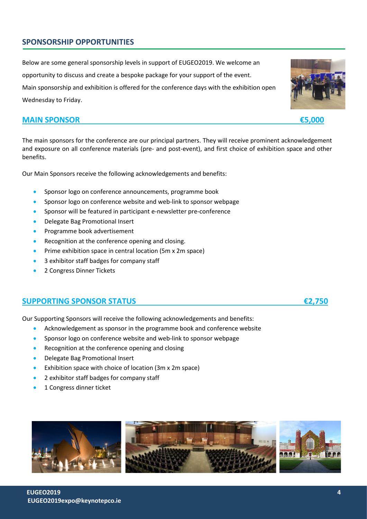### **SPONSORSHIP OPPORTUNITIES**

Below are some general sponsorship levels in support of EUGEO2019. We welcome an opportunity to discuss and create a bespoke package for your support of the event. Main sponsorship and exhibition is offered for the conference days with the exhibition open

Wednesday to Friday.

### **MAIN SPONSOR €5,000**

The main sponsors for the conference are our principal partners. They will receive prominent acknowledgement and exposure on all conference materials (pre- and post-event), and first choice of exhibition space and other benefits.

Our Main Sponsors receive the following acknowledgements and benefits:

- Sponsor logo on conference announcements, programme book
- Sponsor logo on conference website and web-link to sponsor webpage
- Sponsor will be featured in participant e-newsletter pre-conference
- Delegate Bag Promotional Insert
- Programme book advertisement
- Recognition at the conference opening and closing.
- Prime exhibition space in central location (5m x 2m space)
- 3 exhibitor staff badges for company staff
- 2 Congress Dinner Tickets

### **SUPPORTING SPONSOR STATUS €2,750**

Our Supporting Sponsors will receive the following acknowledgements and benefits:

- Acknowledgement as sponsor in the programme book and conference website
- Sponsor logo on conference website and web-link to sponsor webpage
- Recognition at the conference opening and closing
- Delegate Bag Promotional Insert
- Exhibition space with choice of location (3m x 2m space)
- 2 exhibitor staff badges for company staff
- 1 Congress dinner ticket



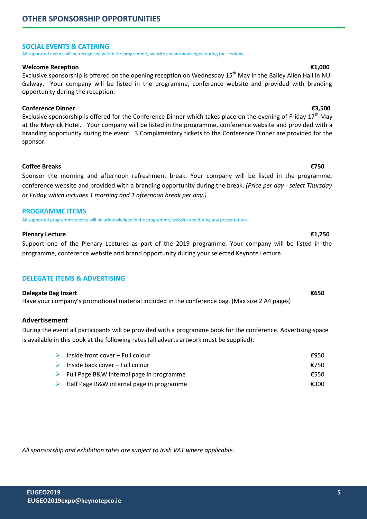### **SOCIAL EVENTS & CATERING**

All supported events will be recognised within the programme, website and acknowledged during the sessions.

### **Welcome Reception €1,000**

Exclusive sponsorship is offered on the opening reception on Wednesday 15<sup>th</sup> May in the Bailey Allen Hall in NUI Galway. Your company will be listed in the programme, conference website and provided with branding opportunity during the reception.

### **Conference Dinner €3,500**

Exclusive sponsorship is offered for the Conference Dinner which takes place on the evening of Friday  $17<sup>th</sup>$  May at the Meyrick Hotel. Your company will be listed in the programme, conference website and provided with a branding opportunity during the event. 3 Complimentary tickets to the Conference Dinner are provided for the sponsor.

### **Coffee Breaks €750**

Sponsor the morning and afternoon refreshment break. Your company will be listed in the programme, conference website and provided with a branding opportunity during the break. *(Price per day - select Thursday or Friday which includes 1 morning and 1 afternoon break per day.)*

### **PROGRAMME ITEMS**

All supported programme events will be acknowledged in the programme, website and during any presentations.

### **Plenary Lecture €1,750**

Support one of the Plenary Lectures as part of the 2019 programme. Your company will be listed in the programme, conference website and brand opportunity during your selected Keynote Lecture.

### **DELEGATE ITEMS & ADVERTISING**

### **Delegate Bag Insert €650**

Have your company's promotional material included in the conference bag. (Max size 2 A4 pages)

### **Advertisement**

During the event all participants will be provided with a programme book for the conference. Advertising space is available in this book at the following rates (all adverts artwork must be supplied):

| inside front cover – Full colour                          | €950 |
|-----------------------------------------------------------|------|
| $\triangleright$ Inside back cover – Full colour          | €750 |
| $\triangleright$ Full Page B&W internal page in programme | €550 |
| $\triangleright$ Half Page B&W internal page in programme | €300 |

*All sponsorship and exhibition rates are subject to Irish VAT where applicable.*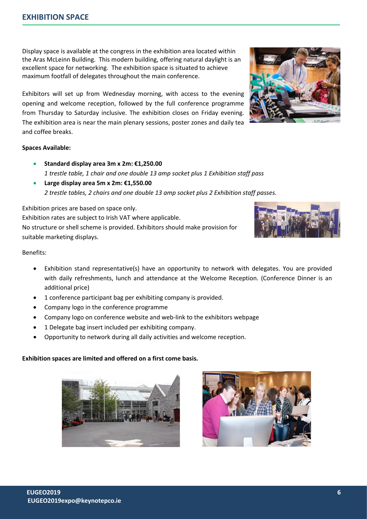Display space is available at the congress in the exhibition area located within the Aras McLeinn Building. This modern building, offering natural daylight is an excellent space for networking. The exhibition space is situated to achieve maximum footfall of delegates throughout the main conference.

Exhibitors will set up from Wednesday morning, with access to the evening opening and welcome reception, followed by the full conference programme from Thursday to Saturday inclusive. The exhibition closes on Friday evening. The exhibition area is near the main plenary sessions, poster zones and daily tea and coffee breaks.

### **Spaces Available:**

- **Standard display area 3m x 2m: €1,250.00**  *1 trestle table, 1 chair and one double 13 amp socket plus 1 Exhibition staff pass*
- **Large display area 5m x 2m: €1,550.00** *2 trestle tables, 2 chairs and one double 13 amp socket plus 2 Exhibition staff passes.*

Exhibition prices are based on space only. Exhibition rates are subject to Irish VAT where applicable. No structure or shell scheme is provided. Exhibitors should make provision for suitable marketing displays.

### Benefits:

- Exhibition stand representative(s) have an opportunity to network with delegates. You are provided with daily refreshments, lunch and attendance at the Welcome Reception. (Conference Dinner is an additional price)
- 1 conference participant bag per exhibiting company is provided.
- Company logo in the conference programme
- Company logo on conference website and web-link to the exhibitors webpage
- 1 Delegate bag insert included per exhibiting company.
- Opportunity to network during all daily activities and welcome reception.

### **Exhibition spaces are limited and offered on a first come basis.**







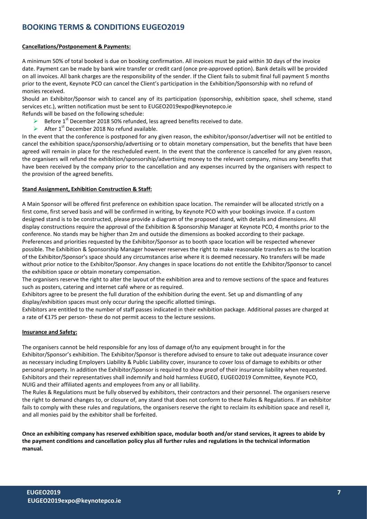### **BOOKING TERMS & CONDITIONS EUGEO2019**

### **Cancellations/Postponement & Payments:**

A minimum 50% of total booked is due on booking confirmation. All invoices must be paid within 30 days of the invoice date. Payment can be made by bank wire transfer or credit card (once pre-approved option). Bank details will be provided on all invoices. All bank charges are the responsibility of the sender. If the Client fails to submit final full payment 5 months prior to the event, Keynote PCO can cancel the Client's participation in the Exhibition/Sponsorship with no refund of monies received.

Should an Exhibitor/Sponsor wish to cancel any of its participation (sponsorship, exhibition space, shell scheme, stand services etc.), written notification must be sent to EUGEO2019expo@keynotepco.ie

Refunds will be based on the following schedule:

- Before 1<sup>st</sup> December 2018 50% refunded, less agreed benefits received to date.
- After  $1^{st}$  December 2018 No refund available.

In the event that the conference is postponed for any given reason, the exhibitor/sponsor/advertiser will not be entitled to cancel the exhibition space/sponsorship/advertising or to obtain monetary compensation, but the benefits that have been agreed will remain in place for the rescheduled event. In the event that the conference is cancelled for any given reason, the organisers will refund the exhibition/sponsorship/advertising money to the relevant company, minus any benefits that have been received by the company prior to the cancellation and any expenses incurred by the organisers with respect to the provision of the agreed benefits.

### **Stand Assignment, Exhibition Construction & Staff:**

A Main Sponsor will be offered first preference on exhibition space location. The remainder will be allocated strictly on a first come, first served basis and will be confirmed in writing, by Keynote PCO with your bookings invoice. If a custom designed stand is to be constructed, please provide a diagram of the proposed stand, with details and dimensions. All display constructions require the approval of the Exhibition & Sponsorship Manager at Keynote PCO, 4 months prior to the conference. No stands may be higher than 2m and outside the dimensions as booked according to their package. Preferences and priorities requested by the Exhibitor/Sponsor as to booth space location will be respected whenever possible. The Exhibition & Sponsorship Manager however reserves the right to make reasonable transfers as to the location of the Exhibitor/Sponsor's space should any circumstances arise where it is deemed necessary. No transfers will be made without prior notice to the Exhibitor/Sponsor. Any changes in space locations do not entitle the Exhibitor/Sponsor to cancel the exhibition space or obtain monetary compensation.

The organisers reserve the right to alter the layout of the exhibition area and to remove sections of the space and features such as posters, catering and internet café where or as required.

Exhibitors agree to be present the full duration of the exhibition during the event. Set up and dismantling of any display/exhibition spaces must only occur during the specific allotted timings.

Exhibitors are entitled to the number of staff passes indicated in their exhibition package. Additional passes are charged at a rate of €175 per person- these do not permit access to the lecture sessions.

### **Insurance and Safety:**

The organisers cannot be held responsible for any loss of damage of/to any equipment brought in for the Exhibitor/Sponsor's exhibition. The Exhibitor/Sponsor is therefore advised to ensure to take out adequate insurance cover as necessary including Employers Liability & Public Liability cover, insurance to cover loss of damage to exhibits or other personal property. In addition the Exhibitor/Sponsor is required to show proof of their insurance liability when requested. Exhibitors and their representatives shall indemnify and hold harmless EUGEO, EUGEO2019 Committee, Keynote PCO, NUIG and their affiliated agents and employees from any or all liability.

The Rules & Regulations must be fully observed by exhibitors, their contractors and their personnel. The organisers reserve the right to demand changes to, or closure of, any stand that does not conform to these Rules & Regulations. If an exhibitor fails to comply with these rules and regulations, the organisers reserve the right to reclaim its exhibition space and resell it, and all monies paid by the exhibitor shall be forfeited.

**Once an exhibiting company has reserved exhibition space, modular booth and/or stand services, it agrees to abide by the payment conditions and cancellation policy plus all further rules and regulations in the technical information manual.**